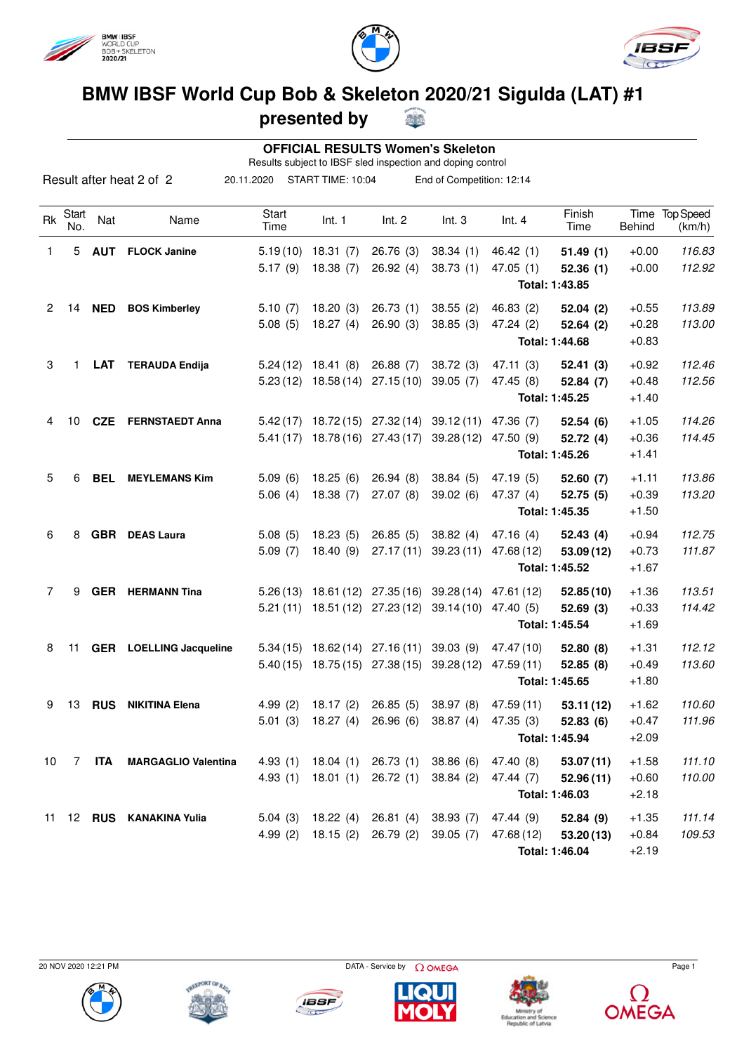



S



## **BMW IBSF World Cup Bob & Skeleton 2020/21 Sigulda (LAT) #1**

## **presented by**

|                |              |            |                                |               |                     |                                  | <b>OFFICIAL RESULTS Women's Skeleton</b><br>Results subject to IBSF sled inspection and doping control |                      |                |                       |                            |
|----------------|--------------|------------|--------------------------------|---------------|---------------------|----------------------------------|--------------------------------------------------------------------------------------------------------|----------------------|----------------|-----------------------|----------------------------|
|                |              |            | Result after heat 2 of 2       | 20.11.2020    | START TIME: 10:04   |                                  | End of Competition: 12:14                                                                              |                      |                |                       |                            |
| <b>Rk</b>      | Start<br>No. | Nat        | Name                           | Start<br>Time | Int. 1              | Int. 2                           | Int.3                                                                                                  | Int.4                | Finish<br>Time | Time<br><b>Behind</b> | <b>Top Speed</b><br>(km/h) |
| 1              | 5            | <b>AUT</b> | <b>FLOCK Janine</b>            | 5.19(10)      | 18.31 (7)           | 26.76(3)                         | 38.34(1)                                                                                               | 46.42(1)             | 51.49(1)       | $+0.00$               | 116.83                     |
|                |              |            |                                | 5.17(9)       | 18.38(7)            | 26.92(4)                         | 38.73(1)                                                                                               | 47.05(1)             | 52.36(1)       | $+0.00$               | 112.92                     |
|                |              |            |                                |               |                     |                                  |                                                                                                        |                      | Total: 1:43.85 |                       |                            |
| $\overline{2}$ | 14           | <b>NED</b> | <b>BOS Kimberley</b>           | 5.10(7)       | 18.20(3)            | 26.73(1)                         | 38.55(2)                                                                                               | 46.83(2)             | 52.04(2)       | $+0.55$               | 113.89                     |
|                |              |            |                                | 5.08(5)       | 18.27(4)            | 26.90(3)                         | 38.85(3)                                                                                               | 47.24 (2)            | 52.64(2)       | $+0.28$               | 113.00                     |
|                |              |            |                                |               |                     |                                  |                                                                                                        |                      | Total: 1:44.68 | $+0.83$               |                            |
| 3              | 1            | <b>LAT</b> | <b>TERAUDA Endija</b>          | 5.24(12)      | 18.41 (8)           | 26.88(7)                         | 38.72(3)                                                                                               | 47.11(3)             | 52.41(3)       | $+0.92$               | 112.46                     |
|                |              |            |                                |               |                     | $5.23(12)$ 18.58 (14) 27.15 (10) | 39.05(7)                                                                                               | 47.45 (8)            | 52.84(7)       | $+0.48$               | 112.56                     |
|                |              |            |                                |               |                     |                                  |                                                                                                        |                      | Total: 1:45.25 | $+1.40$               |                            |
| 4              | 10           |            | <b>CZE</b> FERNSTAEDT Anna     |               |                     | $5.42(17)$ 18.72(15) 27.32(14)   | 39.12(11)                                                                                              | 47.36 (7)            | 52.54(6)       | $+1.05$               | 114.26                     |
|                |              |            |                                | 5.41(17)      |                     | 18.78 (16) 27.43 (17)            | 39.28(12)                                                                                              | 47.50 (9)            | 52.72(4)       | $+0.36$               | 114.45                     |
|                |              |            |                                |               |                     |                                  |                                                                                                        |                      | Total: 1:45.26 | $+1.41$               |                            |
| 5              | 6            | <b>BEL</b> | <b>MEYLEMANS Kim</b>           | 5.09(6)       | 18.25(6)            | 26.94(8)                         | 38.84(5)                                                                                               | 47.19 (5)            | 52.60(7)       | $+1.11$               | 113.86                     |
|                |              |            |                                | 5.06(4)       | 18.38(7)            | 27.07(8)                         | 39.02(6)                                                                                               | 47.37 (4)            | 52.75(5)       | $+0.39$               | 113.20                     |
|                |              |            |                                |               |                     |                                  |                                                                                                        |                      | Total: 1:45.35 | $+1.50$               |                            |
| 6              | 8            | <b>GBR</b> | <b>DEAS Laura</b>              | 5.08(5)       | 18.23(5)            | 26.85(5)                         | 38.82(4)                                                                                               | 47.16(4)             | 52.43(4)       | $+0.94$               | 112.75                     |
|                |              |            |                                | 5.09(7)       | 18.40 (9)           | 27.17 (11)                       | 39.23(11)                                                                                              | 47.68 (12)           | 53.09(12)      | $+0.73$               | 111.87                     |
|                |              |            |                                |               |                     |                                  |                                                                                                        |                      | Total: 1:45.52 | $+1.67$               |                            |
| 7              | 9            |            | <b>GER</b> HERMANN Tina        |               |                     |                                  | 5.26 (13) 18.61 (12) 27.35 (16) 39.28 (14) 47.61 (12)                                                  |                      | 52.85(10)      | $+1.36$               | 113.51                     |
|                |              |            |                                |               |                     | 5.21 (11) 18.51 (12) 27.23 (12)  | 39.14 (10) 47.40 (5)                                                                                   |                      | 52.69(3)       | $+0.33$               | 114.42                     |
|                |              |            |                                |               |                     |                                  |                                                                                                        |                      | Total: 1:45.54 | $+1.69$               |                            |
| 8              | 11           |            | <b>GER</b> LOELLING Jacqueline | 5.34(15)      |                     | 18.62 (14) 27.16 (11)            | 39.03(9)                                                                                               | 47.47 (10)           | 52.80 (8)      | $+1.31$               | 112.12                     |
|                |              |            |                                | 5.40(15)      |                     | 18.75 (15) 27.38 (15)            | 39.28(12)                                                                                              | 47.59 (11)           | 52.85 (8)      | $+0.49$               | 113.60                     |
|                |              |            |                                |               |                     |                                  |                                                                                                        |                      | Total: 1:45.65 | $+1.80$               |                            |
| 9              |              |            | 13 RUS NIKITINA Elena          | 4.99 (2)      | 18.17 (2) 26.85 (5) |                                  |                                                                                                        | 38.97 (8) 47.59 (11) | 53.11(12)      | $+1.62$               | 110.60                     |
|                |              |            |                                | 5.01(3)       | 18.27 (4) 26.96 (6) |                                  | 38.87(4)                                                                                               | 47.35 (3)            | 52.83(6)       | $+0.47$               | 111.96                     |
|                |              |            |                                |               |                     |                                  |                                                                                                        |                      | Total: 1:45.94 | $+2.09$               |                            |
| 10             | 7            | <b>ITA</b> | <b>MARGAGLIO Valentina</b>     | 4.93(1)       |                     | $18.04(1)$ 26.73 (1)             | 38.86(6)                                                                                               | 47.40 (8)            | 53.07(11)      | $+1.58$               | 111.10                     |
|                |              |            |                                | 4.93(1)       |                     | $18.01(1)$ 26.72 (1)             | 38.84(2)                                                                                               | 47.44(7)             | 52.96(11)      | $+0.60$               | 110.00                     |
|                |              |            |                                |               |                     |                                  |                                                                                                        |                      | Total: 1:46.03 | $+2.18$               |                            |
|                |              |            | 11 12 RUS KANAKINA Yulia       | 5.04(3)       |                     | $18.22(4)$ 26.81 (4)             | 38.93(7)                                                                                               | 47.44 (9)            | 52.84 (9)      | $+1.35$               | 111.14                     |
|                |              |            |                                | 4.99(2)       |                     | 18.15 (2) 26.79 (2)              | 39.05(7)                                                                                               | 47.68 (12)           | 53.20(13)      | $+0.84$               | 109.53                     |
|                |              |            |                                |               |                     |                                  |                                                                                                        |                      | Total: 1:46.04 | $+2.19$               |                            |



**IBSF** 

**PLEEPORT OF RIC**